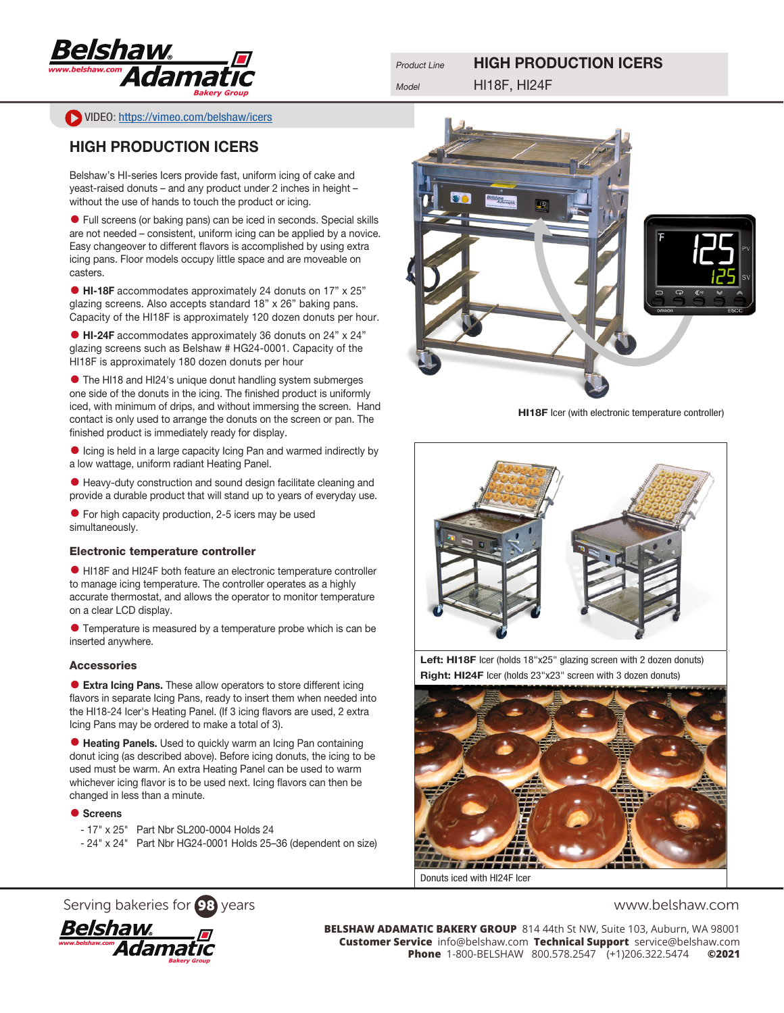

Product Line **HIGH PRODUCTION ICERS** 

VIDEO: <https://vimeo.com/belshaw/icers>

## HIGH PRODUCTION ICERS

Belshaw's HI-series Icers provide fast, uniform icing of cake and yeast-raised donuts – and any product under 2 inches in height – without the use of hands to touch the product or icing.

• Full screens (or baking pans) can be iced in seconds. Special skills are not needed – consistent, uniform icing can be applied by a novice. Easy changeover to different flavors is accomplished by using extra icing pans. Floor models occupy little space and are moveable on casters.

• HI-18F accommodates approximately 24 donuts on 17" x 25" glazing screens. Also accepts standard 18" x 26" baking pans. Capacity of the HI18F is approximately 120 dozen donuts per hour.

• HI-24F accommodates approximately 36 donuts on 24" x 24" glazing screens such as Belshaw # HG24-0001. Capacity of the HI18F is approximately 180 dozen donuts per hour

• The HI18 and HI24's unique donut handling system submerges one side of the donuts in the icing. The finished product is uniformly iced, with minimum of drips, and without immersing the screen. Hand contact is only used to arrange the donuts on the screen or pan. The finished product is immediately ready for display.

• Icing is held in a large capacity Icing Pan and warmed indirectly by a low wattage, uniform radiant Heating Panel.

• Heavy-duty construction and sound design facilitate cleaning and provide a durable product that will stand up to years of everyday use.

• For high capacity production, 2-5 icers may be used simultaneously.

### Electronic temperature controller

• HI18F and HI24F both feature an electronic temperature controller to manage icing temperature. The controller operates as a highly accurate thermostat, and allows the operator to monitor temperature on a clear LCD display.

• Temperature is measured by a temperature probe which is can be inserted anywhere.

### Accessories

• Extra Icing Pans. These allow operators to store different icing flavors in separate Icing Pans, ready to insert them when needed into the HI18-24 Icer's Heating Panel. (If 3 icing flavors are used, 2 extra Icing Pans may be ordered to make a total of 3).

• Heating Panels. Used to quickly warm an Icing Pan containing donut icing (as described above). Before icing donuts, the icing to be used must be warm. An extra Heating Panel can be used to warm whichever icing flavor is to be used next. Icing flavors can then be changed in less than a minute.

### ● Screens

- 17" x 25" Part Nbr SL200-0004 Holds 24
- 24" x 24" Part Nbr HG24-0001 Holds 25–36 (dependent on size)



HI18F Icer (with electronic temperature controller)



Left: HI18F Icer (holds 18"x25" glazing screen with 2 dozen donuts) Right: HI24F Icer (holds 23"x23" screen with 3 dozen donuts)



Serving bakeries for 98 years www.belshaw.com



**BELSHAW ADAMATIC BAKERY GROUP** 814 44th St NW, Suite 103, Auburn, WA 98001 **Customer Service** info@belshaw.com **Technical Support** service@belshaw.com **Phone** 1-800-BELSHAW 800.578.2547 (+1)206.322.5474 **©2021**